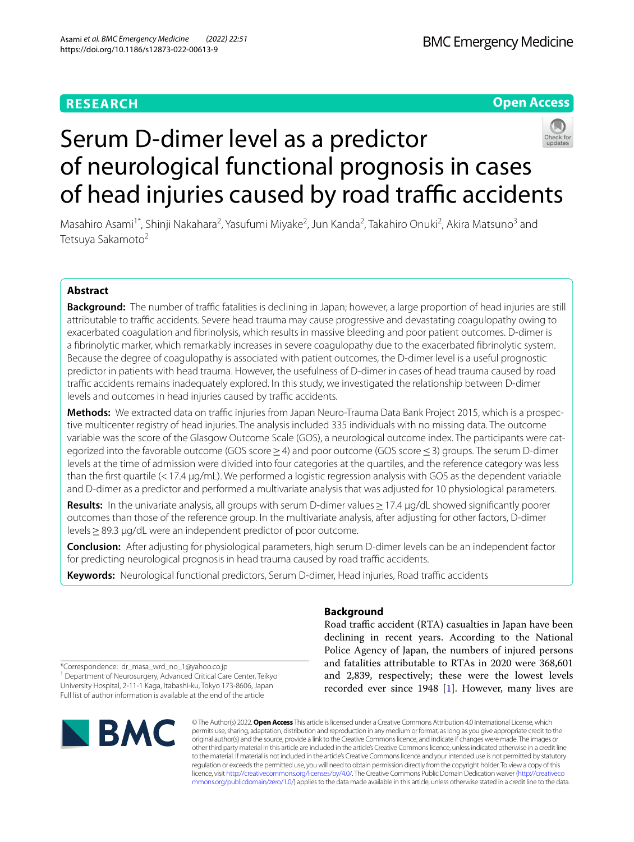# **RESEARCH**

**Open Access**



Masahiro Asami<sup>1\*</sup>, Shinji Nakahara<sup>2</sup>, Yasufumi Miyake<sup>2</sup>, Jun Kanda<sup>2</sup>, Takahiro Onuki<sup>2</sup>, Akira Matsuno<sup>3</sup> and Tetsuya Sakamoto<sup>2</sup>

## **Abstract**

**Background:** The number of traffic fatalities is declining in Japan; however, a large proportion of head injuries are still attributable to traffic accidents. Severe head trauma may cause progressive and devastating coagulopathy owing to exacerbated coagulation and fbrinolysis, which results in massive bleeding and poor patient outcomes. D-dimer is a fbrinolytic marker, which remarkably increases in severe coagulopathy due to the exacerbated fbrinolytic system. Because the degree of coagulopathy is associated with patient outcomes, the D-dimer level is a useful prognostic predictor in patients with head trauma. However, the usefulness of D-dimer in cases of head trauma caused by road traffic accidents remains inadequately explored. In this study, we investigated the relationship between D-dimer levels and outcomes in head injuries caused by traffic accidents.

Methods: We extracted data on traffic injuries from Japan Neuro-Trauma Data Bank Project 2015, which is a prospective multicenter registry of head injuries. The analysis included 335 individuals with no missing data. The outcome variable was the score of the Glasgow Outcome Scale (GOS), a neurological outcome index. The participants were categorized into the favorable outcome (GOS score ≥4) and poor outcome (GOS score ≤3) groups. The serum D-dimer levels at the time of admission were divided into four categories at the quartiles, and the reference category was less than the first quartile (<17.4 µg/mL). We performed a logistic regression analysis with GOS as the dependent variable and D-dimer as a predictor and performed a multivariate analysis that was adjusted for 10 physiological parameters.

**Results:** In the univariate analysis, all groups with serum D-dimer values≥17.4 μg/dL showed signifcantly poorer outcomes than those of the reference group. In the multivariate analysis, after adjusting for other factors, D-dimer levels≥89.3 μg/dL were an independent predictor of poor outcome.

**Conclusion:** After adjusting for physiological parameters, high serum D-dimer levels can be an independent factor for predicting neurological prognosis in head trauma caused by road traffic accidents.

Keywords: Neurological functional predictors, Serum D-dimer, Head injuries, Road traffic accidents

## **Background**

Road traffic accident (RTA) casualties in Japan have been declining in recent years. According to the National Police Agency of Japan, the numbers of injured persons and fatalities attributable to RTAs in 2020 were 368,601 and 2,839, respectively; these were the lowest levels recorded ever since 1948 [\[1](#page-7-0)]. However, many lives are

\*Correspondence: dr\_masa\_wrd\_no\_1@yahoo.co.jp <sup>1</sup> Department of Neurosurgery, Advanced Critical Care Center, Teikyo University Hospital, 2-11-1 Kaga, Itabashi-ku, Tokyo 173-8606, Japan Full list of author information is available at the end of the article



© The Author(s) 2022. **Open Access** This article is licensed under a Creative Commons Attribution 4.0 International License, which permits use, sharing, adaptation, distribution and reproduction in any medium or format, as long as you give appropriate credit to the original author(s) and the source, provide a link to the Creative Commons licence, and indicate if changes were made. The images or other third party material in this article are included in the article's Creative Commons licence, unless indicated otherwise in a credit line to the material. If material is not included in the article's Creative Commons licence and your intended use is not permitted by statutory regulation or exceeds the permitted use, you will need to obtain permission directly from the copyright holder. To view a copy of this licence, visit [http://creativecommons.org/licenses/by/4.0/.](http://creativecommons.org/licenses/by/4.0/) The Creative Commons Public Domain Dedication waiver ([http://creativeco](http://creativecommons.org/publicdomain/zero/1.0/) [mmons.org/publicdomain/zero/1.0/](http://creativecommons.org/publicdomain/zero/1.0/)) applies to the data made available in this article, unless otherwise stated in a credit line to the data.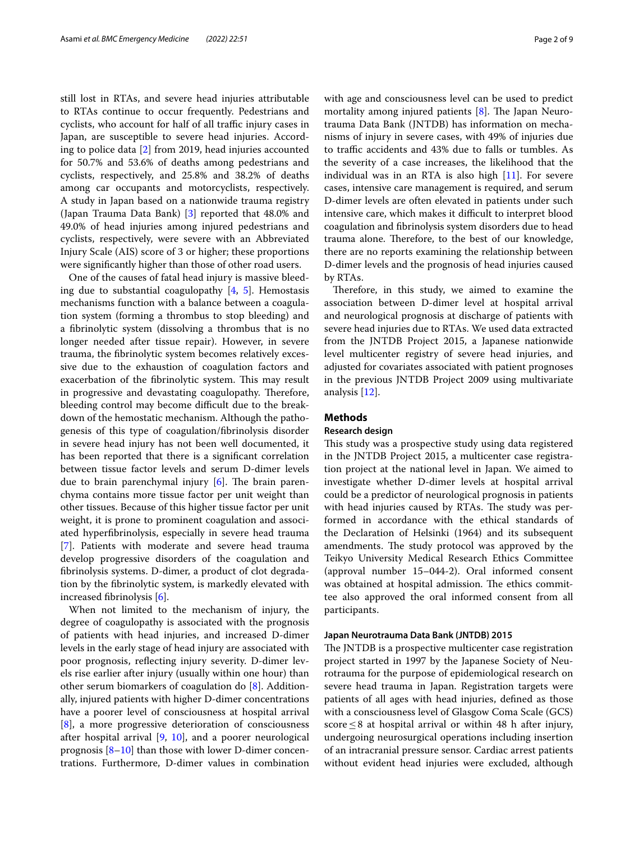still lost in RTAs, and severe head injuries attributable to RTAs continue to occur frequently. Pedestrians and cyclists, who account for half of all traffic injury cases in Japan, are susceptible to severe head injuries. According to police data [\[2](#page-7-1)] from 2019, head injuries accounted for 50.7% and 53.6% of deaths among pedestrians and cyclists, respectively, and 25.8% and 38.2% of deaths among car occupants and motorcyclists, respectively. A study in Japan based on a nationwide trauma registry (Japan Trauma Data Bank) [[3\]](#page-7-2) reported that 48.0% and 49.0% of head injuries among injured pedestrians and cyclists, respectively, were severe with an Abbreviated Injury Scale (AIS) score of 3 or higher; these proportions were signifcantly higher than those of other road users.

One of the causes of fatal head injury is massive bleeding due to substantial coagulopathy [[4,](#page-7-3) [5](#page-7-4)]. Hemostasis mechanisms function with a balance between a coagulation system (forming a thrombus to stop bleeding) and a fbrinolytic system (dissolving a thrombus that is no longer needed after tissue repair). However, in severe trauma, the fbrinolytic system becomes relatively excessive due to the exhaustion of coagulation factors and exacerbation of the fibrinolytic system. This may result in progressive and devastating coagulopathy. Therefore, bleeding control may become difficult due to the breakdown of the hemostatic mechanism. Although the pathogenesis of this type of coagulation/fbrinolysis disorder in severe head injury has not been well documented, it has been reported that there is a signifcant correlation between tissue factor levels and serum D-dimer levels due to brain parenchymal injury  $[6]$  $[6]$ . The brain parenchyma contains more tissue factor per unit weight than other tissues. Because of this higher tissue factor per unit weight, it is prone to prominent coagulation and associated hyperfbrinolysis, especially in severe head trauma [[7\]](#page-7-6). Patients with moderate and severe head trauma develop progressive disorders of the coagulation and fbrinolysis systems. D-dimer, a product of clot degradation by the fbrinolytic system, is markedly elevated with increased fbrinolysis [[6\]](#page-7-5).

When not limited to the mechanism of injury, the degree of coagulopathy is associated with the prognosis of patients with head injuries, and increased D-dimer levels in the early stage of head injury are associated with poor prognosis, reflecting injury severity. D-dimer levels rise earlier after injury (usually within one hour) than other serum biomarkers of coagulation do [\[8](#page-7-7)]. Additionally, injured patients with higher D-dimer concentrations have a poorer level of consciousness at hospital arrival [[8\]](#page-7-7), a more progressive deterioration of consciousness after hospital arrival [[9,](#page-7-8) [10\]](#page-7-9), and a poorer neurological prognosis  $[8-10]$  $[8-10]$  than those with lower D-dimer concentrations. Furthermore, D-dimer values in combination with age and consciousness level can be used to predict mortality among injured patients  $[8]$  $[8]$ . The Japan Neurotrauma Data Bank (JNTDB) has information on mechanisms of injury in severe cases, with 49% of injuries due to traffic accidents and 43% due to falls or tumbles. As the severity of a case increases, the likelihood that the individual was in an RTA is also high [\[11](#page-7-10)]. For severe cases, intensive care management is required, and serum D-dimer levels are often elevated in patients under such intensive care, which makes it difficult to interpret blood coagulation and fbrinolysis system disorders due to head trauma alone. Therefore, to the best of our knowledge, there are no reports examining the relationship between D-dimer levels and the prognosis of head injuries caused by RTAs.

Therefore, in this study, we aimed to examine the association between D-dimer level at hospital arrival and neurological prognosis at discharge of patients with severe head injuries due to RTAs. We used data extracted from the JNTDB Project 2015, a Japanese nationwide level multicenter registry of severe head injuries, and adjusted for covariates associated with patient prognoses in the previous JNTDB Project 2009 using multivariate analysis [[12\]](#page-7-11).

## **Methods**

## **Research design**

This study was a prospective study using data registered in the JNTDB Project 2015, a multicenter case registration project at the national level in Japan. We aimed to investigate whether D-dimer levels at hospital arrival could be a predictor of neurological prognosis in patients with head injuries caused by RTAs. The study was performed in accordance with the ethical standards of the Declaration of Helsinki (1964) and its subsequent amendments. The study protocol was approved by the Teikyo University Medical Research Ethics Committee (approval number 15–044-2). Oral informed consent was obtained at hospital admission. The ethics committee also approved the oral informed consent from all participants.

### **Japan Neurotrauma Data Bank (JNTDB) 2015**

The JNTDB is a prospective multicenter case registration project started in 1997 by the Japanese Society of Neurotrauma for the purpose of epidemiological research on severe head trauma in Japan. Registration targets were patients of all ages with head injuries, defned as those with a consciousness level of Glasgow Coma Scale (GCS) score≤8 at hospital arrival or within 48 h after injury, undergoing neurosurgical operations including insertion of an intracranial pressure sensor. Cardiac arrest patients without evident head injuries were excluded, although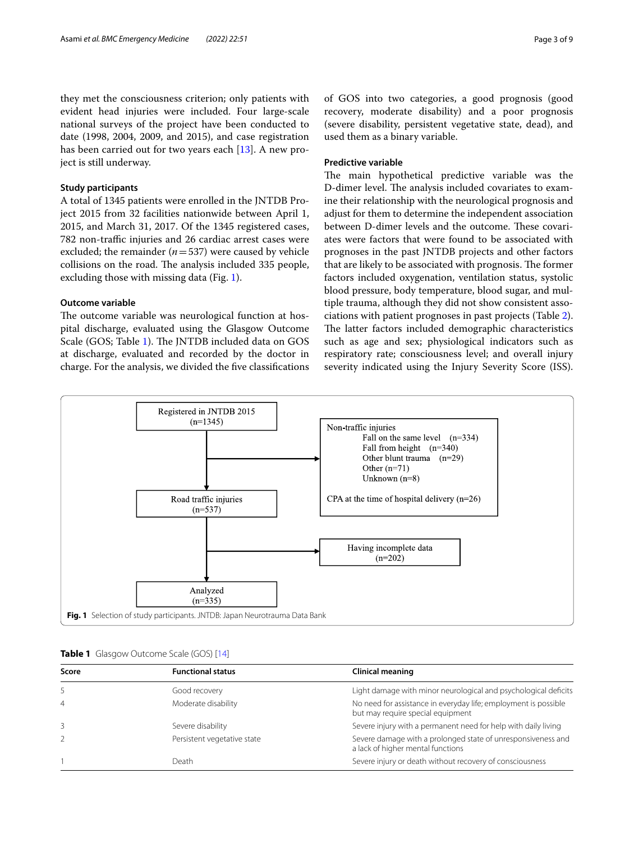they met the consciousness criterion; only patients with evident head injuries were included. Four large-scale national surveys of the project have been conducted to date (1998, 2004, 2009, and 2015), and case registration has been carried out for two years each [\[13](#page-7-12)]. A new project is still underway.

## **Study participants**

A total of 1345 patients were enrolled in the JNTDB Project 2015 from 32 facilities nationwide between April 1, 2015, and March 31, 2017. Of the 1345 registered cases, 782 non-traffic injuries and 26 cardiac arrest cases were excluded; the remainder (*n*=537) were caused by vehicle collisions on the road. The analysis included 335 people, excluding those with missing data (Fig. [1\)](#page-2-0).

## **Outcome variable**

The outcome variable was neurological function at hospital discharge, evaluated using the Glasgow Outcome Scale (GOS; Table [1\)](#page-2-1). The JNTDB included data on GOS at discharge, evaluated and recorded by the doctor in charge. For the analysis, we divided the fve classifcations of GOS into two categories, a good prognosis (good recovery, moderate disability) and a poor prognosis (severe disability, persistent vegetative state, dead), and used them as a binary variable.

## **Predictive variable**

The main hypothetical predictive variable was the D-dimer level. The analysis included covariates to examine their relationship with the neurological prognosis and adjust for them to determine the independent association between D-dimer levels and the outcome. These covariates were factors that were found to be associated with prognoses in the past JNTDB projects and other factors that are likely to be associated with prognosis. The former factors included oxygenation, ventilation status, systolic blood pressure, body temperature, blood sugar, and multiple trauma, although they did not show consistent associations with patient prognoses in past projects (Table [2](#page-3-0)). The latter factors included demographic characteristics such as age and sex; physiological indicators such as respiratory rate; consciousness level; and overall injury severity indicated using the Injury Severity Score (ISS).



<span id="page-2-1"></span><span id="page-2-0"></span>

|  |  | Table 1 Glasgow Outcome Scale (GOS) [14] |  |  |  |
|--|--|------------------------------------------|--|--|--|
|--|--|------------------------------------------|--|--|--|

| Score          | <b>Functional status</b>    | <b>Clinical meaning</b>                                                                              |
|----------------|-----------------------------|------------------------------------------------------------------------------------------------------|
| 5              | Good recovery               | Light damage with minor neurological and psychological deficits                                      |
| $\overline{4}$ | Moderate disability         | No need for assistance in everyday life; employment is possible<br>but may require special equipment |
|                | Severe disability           | Severe injury with a permanent need for help with daily living                                       |
|                | Persistent vegetative state | Severe damage with a prolonged state of unresponsiveness and<br>a lack of higher mental functions    |
|                | Death                       | Severe injury or death without recovery of consciousness                                             |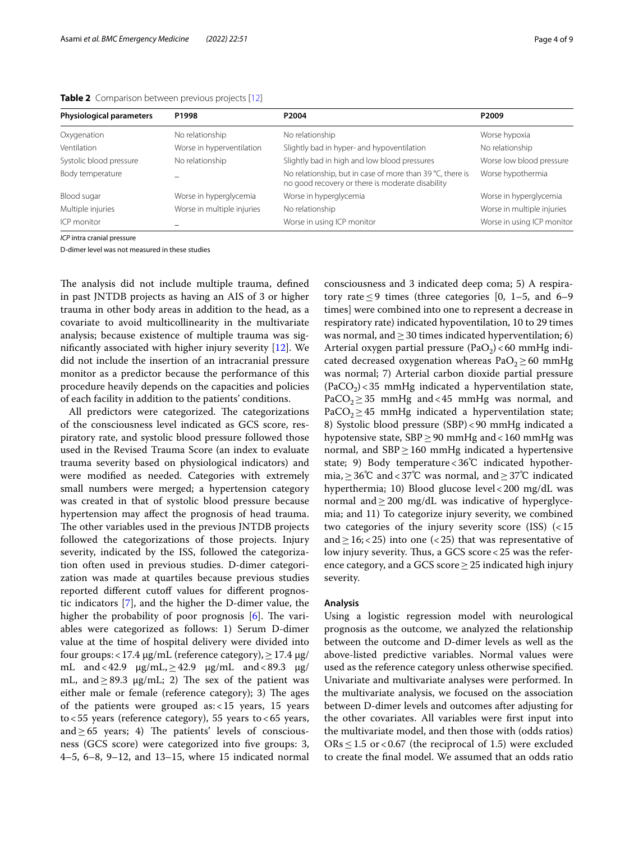| <b>Physiological parameters</b> | P1998                      | P2004                                                                                                         | P2009                      |
|---------------------------------|----------------------------|---------------------------------------------------------------------------------------------------------------|----------------------------|
| Oxygenation                     | No relationship            | No relationship                                                                                               | Worse hypoxia              |
| Ventilation                     | Worse in hyperventilation  | Slightly bad in hyper- and hypoventilation                                                                    | No relationship            |
| Systolic blood pressure         | No relationship            | Slightly bad in high and low blood pressures                                                                  | Worse low blood pressure   |
| Body temperature                |                            | No relationship, but in case of more than 39 °C, there is<br>no good recovery or there is moderate disability | Worse hypothermia          |
| Blood sugar                     | Worse in hyperglycemia     | Worse in hyperglycemia                                                                                        | Worse in hyperglycemia     |
| Multiple injuries               | Worse in multiple injuries | No relationship                                                                                               | Worse in multiple injuries |
| ICP monitor                     |                            | Worse in using ICP monitor                                                                                    | Worse in using ICP monitor |

<span id="page-3-0"></span>**Table 2** Comparison between previous projects [[12](#page-7-11)]

*ICP* intra cranial pressure

D-dimer level was not measured in these studies

The analysis did not include multiple trauma, defined in past JNTDB projects as having an AIS of 3 or higher trauma in other body areas in addition to the head, as a covariate to avoid multicollinearity in the multivariate analysis; because existence of multiple trauma was signifcantly associated with higher injury severity [[12](#page-7-11)]. We did not include the insertion of an intracranial pressure monitor as a predictor because the performance of this procedure heavily depends on the capacities and policies of each facility in addition to the patients' conditions.

All predictors were categorized. The categorizations of the consciousness level indicated as GCS score, respiratory rate, and systolic blood pressure followed those used in the Revised Trauma Score (an index to evaluate trauma severity based on physiological indicators) and were modifed as needed. Categories with extremely small numbers were merged; a hypertension category was created in that of systolic blood pressure because hypertension may afect the prognosis of head trauma. The other variables used in the previous JNTDB projects followed the categorizations of those projects. Injury severity, indicated by the ISS, followed the categorization often used in previous studies. D-dimer categorization was made at quartiles because previous studies reported different cutoff values for different prognostic indicators [[7\]](#page-7-6), and the higher the D-dimer value, the higher the probability of poor prognosis  $[6]$ . The variables were categorized as follows: 1) Serum D-dimer value at the time of hospital delivery were divided into four groups:<17.4 μg/mL (reference category),≥17.4 μg/ mL and <42.9  $\mu$ g/mL,  $\ge$ 42.9  $\mu$ g/mL and <89.3  $\mu$ g/ mL, and  $\geq$  89.3  $\mu$ g/mL; 2) The sex of the patient was either male or female (reference category); 3) The ages of the patients were grouped as:<15 years, 15 years to <55 years (reference category), 55 years to <65 years, and  $\geq$  65 years; 4) The patients' levels of consciousness (GCS score) were categorized into fve groups: 3, 4–5, 6–8, 9–12, and 13–15, where 15 indicated normal consciousness and 3 indicated deep coma; 5) A respiratory rate  $\leq$  9 times (three categories [0, 1–5, and 6–9 times] were combined into one to represent a decrease in respiratory rate) indicated hypoventilation, 10 to 29 times was normal, and  $\geq$  30 times indicated hyperventilation; 6) Arterial oxygen partial pressure (PaO<sub>2</sub>) < 60 mmHg indicated decreased oxygenation whereas  $PaO<sub>2</sub> \ge 60$  mmHg was normal; 7) Arterial carbon dioxide partial pressure  $(PaCO<sub>2</sub>)$  < 35 mmHg indicated a hyperventilation state, PaCO<sub>2</sub> $\geq$ 35 mmHg and <45 mmHg was normal, and  $PaCO<sub>2</sub> \ge 45$  mmHg indicated a hyperventilation state; 8) Systolic blood pressure (SBP)<90 mmHg indicated a hypotensive state,  $SBP \geq 90$  mmHg and < 160 mmHg was normal, and  $SBP \ge 160$  mmHg indicated a hypertensive state; 9) Body temperature<36℃ indicated hypothermia,≥36℃ and<37℃ was normal, and≥37℃ indicated hyperthermia; 10) Blood glucose level<200 mg/dL was normal and  $\geq$  200 mg/dL was indicative of hyperglycemia; and 11) To categorize injury severity, we combined two categories of the injury severity score (ISS) (<15 and  $\geq$  16; < 25) into one (< 25) that was representative of low injury severity. Thus, a GCS score  $<$  25 was the reference category, and a GCS score  $\geq$  25 indicated high injury severity.

## **Analysis**

Using a logistic regression model with neurological prognosis as the outcome, we analyzed the relationship between the outcome and D-dimer levels as well as the above-listed predictive variables. Normal values were used as the reference category unless otherwise specifed. Univariate and multivariate analyses were performed. In the multivariate analysis, we focused on the association between D-dimer levels and outcomes after adjusting for the other covariates. All variables were frst input into the multivariate model, and then those with (odds ratios)  $ORs \leq 1.5$  or < 0.67 (the reciprocal of 1.5) were excluded to create the fnal model. We assumed that an odds ratio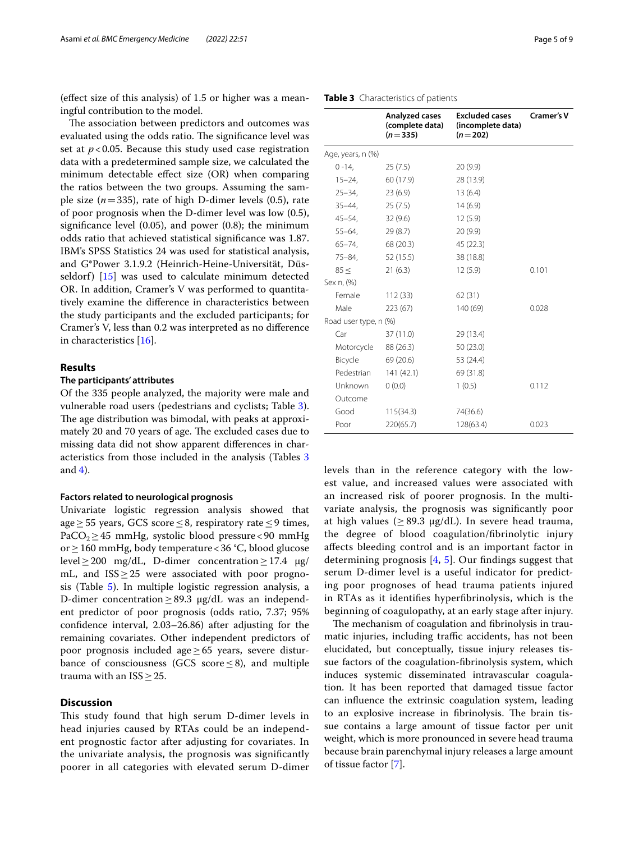(efect size of this analysis) of 1.5 or higher was a meaningful contribution to the model.

The association between predictors and outcomes was evaluated using the odds ratio. The significance level was set at  $p < 0.05$ . Because this study used case registration data with a predetermined sample size, we calculated the minimum detectable efect size (OR) when comparing the ratios between the two groups. Assuming the sample size  $(n=335)$ , rate of high D-dimer levels  $(0.5)$ , rate of poor prognosis when the D-dimer level was low (0.5), signifcance level (0.05), and power (0.8); the minimum odds ratio that achieved statistical signifcance was 1.87. IBM's SPSS Statistics 24 was used for statistical analysis, and G\*Power 3.1.9.2 (Heinrich-Heine-Universität, Düsseldorf) [[15](#page-8-1)] was used to calculate minimum detected OR. In addition, Cramer's V was performed to quantitatively examine the diference in characteristics between the study participants and the excluded participants; for Cramer's V, less than 0.2 was interpreted as no diference in characteristics [[16\]](#page-8-2).

## **Results**

### **The participants' attributes**

Of the 335 people analyzed, the majority were male and vulnerable road users (pedestrians and cyclists; Table [3](#page-4-0)). The age distribution was bimodal, with peaks at approximately 20 and 70 years of age. The excluded cases due to missing data did not show apparent diferences in characteristics from those included in the analysis (Tables [3](#page-4-0) and  $4$ ).

## **Factors related to neurological prognosis**

Univariate logistic regression analysis showed that age≥55 years, GCS score≤8, respiratory rate≤9 times, PaCO<sub>2</sub>≥45 mmHg, systolic blood pressure <90 mmHg or≥160 mmHg, body temperature<36 °C, blood glucose level≥200 mg/dL, D-dimer concentration≥17.4  $\mu$ g/ mL, and  $ISS \geq 25$  were associated with poor prognosis (Table [5](#page-6-0)). In multiple logistic regression analysis, a D-dimer concentration≥89.3 μg/dL was an independent predictor of poor prognosis (odds ratio, 7.37; 95% confdence interval, 2.03–26.86) after adjusting for the remaining covariates. Other independent predictors of poor prognosis included age≥65 years, severe disturbance of consciousness (GCS score  $\leq$ 8), and multiple trauma with an ISS≥25.

## **Discussion**

This study found that high serum D-dimer levels in head injuries caused by RTAs could be an independent prognostic factor after adjusting for covariates. In the univariate analysis, the prognosis was signifcantly poorer in all categories with elevated serum D-dimer

<span id="page-4-0"></span>

|                       | <b>Analyzed cases</b><br>(complete data)<br>$(n=335)$ | <b>Excluded cases</b><br>(incomplete data)<br>$(n=202)$ | <b>Cramer's V</b> |
|-----------------------|-------------------------------------------------------|---------------------------------------------------------|-------------------|
| Age, years, n (%)     |                                                       |                                                         |                   |
| $0 - 14,$             | 25(7.5)                                               | 20(9.9)                                                 |                   |
| $15 - 24$ ,           | 60 (17.9)                                             | 28 (13.9)                                               |                   |
| $25 - 34$ ,           | 23(6.9)                                               | 13(6.4)                                                 |                   |
| $35 - 44.$            | 25(7.5)                                               | 14(6.9)                                                 |                   |
| $45 - 54$ ,           | 32(9.6)                                               | 12(5.9)                                                 |                   |
| $55 - 64.$            | 29(8.7)                                               | 20(9.9)                                                 |                   |
| $65 - 74$ ,           | 68 (20.3)                                             | 45 (22.3)                                               |                   |
| $75 - 84,$            | 52(15.5)                                              | 38 (18.8)                                               |                   |
| $85 \leq$             | 21(6.3)                                               | 12(5.9)                                                 | 0.101             |
| Sex n, (%)            |                                                       |                                                         |                   |
| Female                | 112(33)                                               | 62(31)                                                  |                   |
| Male                  | 223(67)                                               | 140 (69)                                                | 0.028             |
| Road user type, n (%) |                                                       |                                                         |                   |
| Car                   | 37 (11.0)                                             | 29 (13.4)                                               |                   |
| Motorcycle            | 88 (26.3)                                             | 50 (23.0)                                               |                   |
| Bicycle               | 69 (20.6)                                             | 53 (24.4)                                               |                   |
| Pedestrian            | 141(42.1)                                             | 69 (31.8)                                               |                   |
| Unknown               | 0(0.0)                                                | 1(0.5)                                                  | 0.112             |
| Outcome               |                                                       |                                                         |                   |
| Good                  | 115(34.3)                                             | 74(36.6)                                                |                   |
| Poor                  | 220(65.7)                                             | 128(63.4)                                               | 0.023             |
|                       |                                                       |                                                         |                   |

levels than in the reference category with the lowest value, and increased values were associated with an increased risk of poorer prognosis. In the multivariate analysis, the prognosis was signifcantly poor at high values ( $\geq$  89.3  $\mu$ g/dL). In severe head trauma, the degree of blood coagulation/fbrinolytic injury afects bleeding control and is an important factor in determining prognosis  $[4, 5]$  $[4, 5]$  $[4, 5]$  $[4, 5]$  $[4, 5]$ . Our findings suggest that serum D-dimer level is a useful indicator for predicting poor prognoses of head trauma patients injured in RTAs as it identifes hyperfbrinolysis, which is the beginning of coagulopathy, at an early stage after injury.

The mechanism of coagulation and fibrinolysis in traumatic injuries, including traffic accidents, has not been elucidated, but conceptually, tissue injury releases tissue factors of the coagulation-fbrinolysis system, which induces systemic disseminated intravascular coagulation. It has been reported that damaged tissue factor can infuence the extrinsic coagulation system, leading to an explosive increase in fibrinolysis. The brain tissue contains a large amount of tissue factor per unit weight, which is more pronounced in severe head trauma because brain parenchymal injury releases a large amount of tissue factor [\[7](#page-7-6)].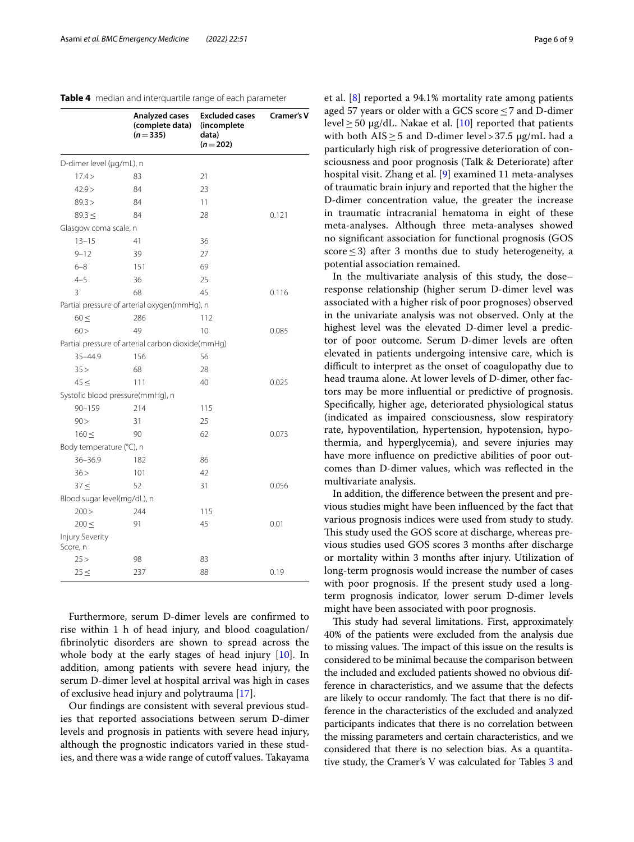<span id="page-5-0"></span>

|                                    | Analyzed cases<br>(complete data)<br>$(n=335)$    | <b>Excluded cases</b><br>(incomplete<br>data)<br>$(n=202)$ | <b>Cramer's V</b> |
|------------------------------------|---------------------------------------------------|------------------------------------------------------------|-------------------|
| D-dimer level (µg/mL), n           |                                                   |                                                            |                   |
| 17.4>                              | 83                                                | 21                                                         |                   |
| 42.9>                              | 84                                                | 23                                                         |                   |
| 89.3 >                             | 84                                                | 11                                                         |                   |
| $89.3 \le$                         | 84                                                | 28                                                         | 0.121             |
| Glasgow coma scale, n              |                                                   |                                                            |                   |
| $13 - 15$                          | 41                                                | 36                                                         |                   |
| $9 - 12$                           | 39                                                | 27                                                         |                   |
| $6 - 8$                            | 151                                               | 69                                                         |                   |
| $4 - 5$                            | 36                                                | 25                                                         |                   |
| 3                                  | 68                                                | 45                                                         | 0.116             |
|                                    | Partial pressure of arterial oxygen(mmHg), n      |                                                            |                   |
| $60 \leq$                          | 286                                               | 112                                                        |                   |
| 60 >                               | 49                                                | 10                                                         | 0.085             |
|                                    | Partial pressure of arterial carbon dioxide(mmHg) |                                                            |                   |
| 35-44.9                            | 156                                               | 56                                                         |                   |
| 35 >                               | 68                                                | 28                                                         |                   |
| 45 <                               | 111                                               | 40                                                         | 0.025             |
|                                    | Systolic blood pressure(mmHg), n                  |                                                            |                   |
| $90 - 159$                         | 214                                               | 115                                                        |                   |
| 90 >                               | 31                                                | 25                                                         |                   |
| 160 <                              | 90                                                | 62                                                         | 0.073             |
| Body temperature (°C), n           |                                                   |                                                            |                   |
| $36 - 36.9$                        | 182                                               | 86                                                         |                   |
| 36 >                               | 101                                               | 42                                                         |                   |
| 37 <                               | 52                                                | 31                                                         | 0.056             |
| Blood sugar level(mg/dL), n        |                                                   |                                                            |                   |
| 200 >                              | 244                                               | 115                                                        |                   |
| 200 <                              | 91                                                | 45                                                         | 0.01              |
| <b>Injury Severity</b><br>Score, n |                                                   |                                                            |                   |
| 25 >                               | 98                                                | 83                                                         |                   |
| 25 <                               | 237                                               | 88                                                         | 0.19              |

Furthermore, serum D-dimer levels are confrmed to rise within 1 h of head injury, and blood coagulation/ fbrinolytic disorders are shown to spread across the whole body at the early stages of head injury [\[10\]](#page-7-9). In addition, among patients with severe head injury, the serum D-dimer level at hospital arrival was high in cases of exclusive head injury and polytrauma [[17\]](#page-8-3).

Our fndings are consistent with several previous studies that reported associations between serum D-dimer levels and prognosis in patients with severe head injury, although the prognostic indicators varied in these studies, and there was a wide range of cutoff values. Takayama et al. [[8\]](#page-7-7) reported a 94.1% mortality rate among patients aged 57 years or older with a GCS score  $\leq$  7 and D-dimer level  $\geq$  50 µg/dL. Nakae et al. [[10\]](#page-7-9) reported that patients with both  $AIS \geq 5$  and D-dimer level>37.5  $\mu$ g/mL had a particularly high risk of progressive deterioration of consciousness and poor prognosis (Talk & Deteriorate) after hospital visit. Zhang et al. [[9\]](#page-7-8) examined 11 meta-analyses of traumatic brain injury and reported that the higher the D-dimer concentration value, the greater the increase in traumatic intracranial hematoma in eight of these meta-analyses. Although three meta-analyses showed no signifcant association for functional prognosis (GOS score  $\leq$  3) after 3 months due to study heterogeneity, a potential association remained.

In the multivariate analysis of this study, the dose– response relationship (higher serum D-dimer level was associated with a higher risk of poor prognoses) observed in the univariate analysis was not observed. Only at the highest level was the elevated D-dimer level a predictor of poor outcome. Serum D-dimer levels are often elevated in patients undergoing intensive care, which is difficult to interpret as the onset of coagulopathy due to head trauma alone. At lower levels of D-dimer, other factors may be more infuential or predictive of prognosis. Specifcally, higher age, deteriorated physiological status (indicated as impaired consciousness, slow respiratory rate, hypoventilation, hypertension, hypotension, hypothermia, and hyperglycemia), and severe injuries may have more infuence on predictive abilities of poor outcomes than D-dimer values, which was refected in the multivariate analysis.

In addition, the diference between the present and previous studies might have been infuenced by the fact that various prognosis indices were used from study to study. This study used the GOS score at discharge, whereas previous studies used GOS scores 3 months after discharge or mortality within 3 months after injury. Utilization of long-term prognosis would increase the number of cases with poor prognosis. If the present study used a longterm prognosis indicator, lower serum D-dimer levels might have been associated with poor prognosis.

This study had several limitations. First, approximately 40% of the patients were excluded from the analysis due to missing values. The impact of this issue on the results is considered to be minimal because the comparison between the included and excluded patients showed no obvious difference in characteristics, and we assume that the defects are likely to occur randomly. The fact that there is no difference in the characteristics of the excluded and analyzed participants indicates that there is no correlation between the missing parameters and certain characteristics, and we considered that there is no selection bias. As a quantitative study, the Cramer's V was calculated for Tables [3](#page-4-0) and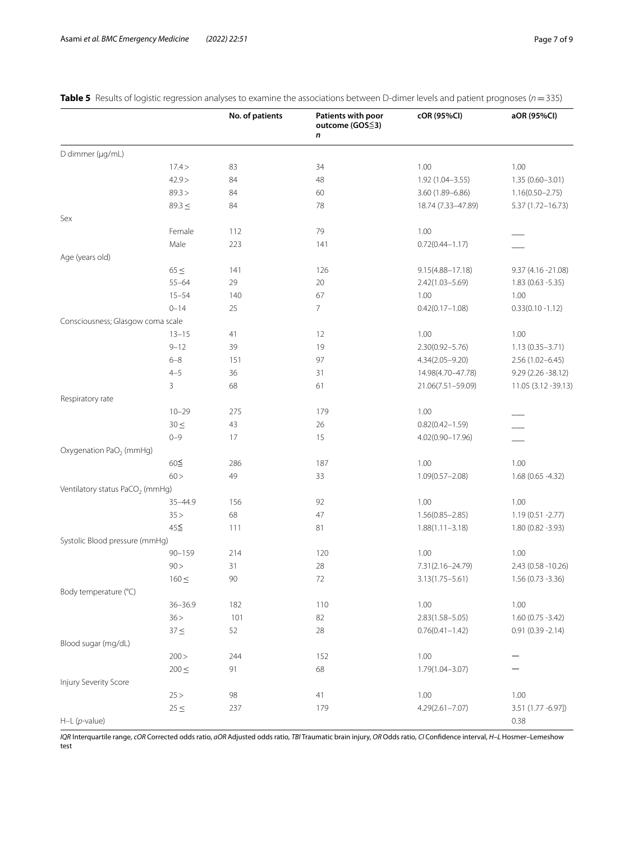|                                             |             | No. of patients | Patients with poor<br>outcome (GOS≦3)<br>n | cOR (95%CI)          | aOR (95%CI)          |
|---------------------------------------------|-------------|-----------------|--------------------------------------------|----------------------|----------------------|
| D dimmer (µg/mL)                            |             |                 |                                            |                      |                      |
|                                             | 17.4>       | 83              | 34                                         | 1.00                 | 1.00                 |
|                                             | 42.9 >      | 84              | 48                                         | 1.92 (1.04-3.55)     | $1.35(0.60 - 3.01)$  |
|                                             | 89.3 >      | 84              | 60                                         | 3.60 (1.89-6.86)     | $1.16(0.50 - 2.75)$  |
|                                             | $89.3 \leq$ | 84              | 78                                         | 18.74 (7.33-47.89)   | 5.37 (1.72-16.73)    |
| Sex                                         |             |                 |                                            |                      |                      |
|                                             | Female      | 112             | 79                                         | 1.00                 |                      |
|                                             | Male        | 223             | 141                                        | $0.72(0.44 - 1.17)$  |                      |
| Age (years old)                             |             |                 |                                            |                      |                      |
|                                             | $65 \leq$   | 141             | 126                                        | $9.15(4.88 - 17.18)$ | 9.37 (4.16 - 21.08)  |
|                                             | $55 - 64$   | 29              | $20\,$                                     | 2.42(1.03-5.69)      | $1.83(0.63 - 5.35)$  |
|                                             | $15 - 54$   | 140             | 67                                         | 1.00                 | 1.00                 |
|                                             | $0 - 14$    | 25              | $\overline{7}$                             | $0.42(0.17 - 1.08)$  | $0.33(0.10 - 1.12)$  |
| Consciousness; Glasgow coma scale           |             |                 |                                            |                      |                      |
|                                             | $13 - 15$   | 41              | 12                                         | 1.00                 | 1.00                 |
|                                             | $9 - 12$    | 39              | 19                                         | 2.30(0.92-5.76)      | $1.13(0.35 - 3.71)$  |
|                                             | $6 - 8$     | 151             | 97                                         | 4.34(2.05-9.20)      | $2.56(1.02 - 6.45)$  |
|                                             | $4 - 5$     | 36              | 31                                         | 14.98(4.70-47.78)    | 9.29 (2.26 -38.12)   |
|                                             | 3           | 68              | 61                                         | 21.06(7.51-59.09)    | 11.05 (3.12 - 39.13) |
| Respiratory rate                            |             |                 |                                            |                      |                      |
|                                             | $10 - 29$   | 275             | 179                                        | 1.00                 |                      |
|                                             | $30 \leq$   | 43              | 26                                         | $0.82(0.42 - 1.59)$  |                      |
|                                             | $0 - 9$     | 17              | 15                                         | 4.02(0.90-17.96)     |                      |
| Oxygenation PaO <sub>2</sub> (mmHg)         |             |                 |                                            |                      |                      |
|                                             | 60≦         | 286             | 187                                        | 1.00                 | 1.00                 |
|                                             | 60 >        | 49              | 33                                         | $1.09(0.57 - 2.08)$  | 1.68 (0.65 - 4.32)   |
| Ventilatory status PaCO <sub>2</sub> (mmHg) |             |                 |                                            |                      |                      |
|                                             | 35-44.9     | 156             | 92                                         | 1.00                 | 1.00                 |
|                                             | 35 >        | 68              | 47                                         | $1.56(0.85 - 2.85)$  | $1.19(0.51 - 2.77)$  |
|                                             | 45≦         | 111             | 81                                         | $1.88(1.11 - 3.18)$  | 1.80 (0.82 -3.93)    |
| Systolic Blood pressure (mmHg)              |             |                 |                                            |                      |                      |
|                                             | $90 - 159$  | 214             | 120                                        | 1.00                 | 1.00                 |
|                                             | 90 >        | 31              | 28                                         | 7.31(2.16-24.79)     | 2.43 (0.58 - 10.26)  |
|                                             | $160 \leq$  | 90              | 72                                         | $3.13(1.75 - 5.61)$  | $1.56(0.73 - 3.36)$  |
| Body temperature (°C)                       |             |                 |                                            |                      |                      |
|                                             | $36 - 36.9$ | 182             | 110                                        | 1.00                 | 1.00                 |
|                                             | 36 >        | 101             | 82                                         | $2.83(1.58 - 5.05)$  | $1.60(0.75 - 3.42)$  |
|                                             | $37 \leq$   | 52              | 28                                         | $0.76(0.41 - 1.42)$  | $0.91(0.39 - 2.14)$  |
| Blood sugar (mg/dL)                         |             |                 |                                            |                      |                      |
|                                             | 200 >       | 244             | 152                                        | 1.00                 |                      |
|                                             | $200 \leq$  | 91              | 68                                         | 1.79(1.04-3.07)      |                      |
| Injury Severity Score                       |             |                 |                                            |                      |                      |
|                                             | 25 >        | 98              | 41                                         | 1.00                 | 1.00                 |
|                                             | $25 \leq$   | 237             | 179                                        | 4.29(2.61-7.07)      | 3.51 (1.77 -6.97])   |
| $H-L$ ( <i>p</i> -value)                    |             |                 |                                            |                      | 0.38                 |

<span id="page-6-0"></span>**Table 5** Results of logistic regression analyses to examine the associations between D-dimer levels and patient prognoses (*n* = 335)

*IQR* Interquartile range, *cOR* Corrected odds ratio, *aOR* Adjusted odds ratio, *TBI* Traumatic brain injury, *OR* Odds ratio, *CI* Confdence interval, *H–L* Hosmer–Lemeshow test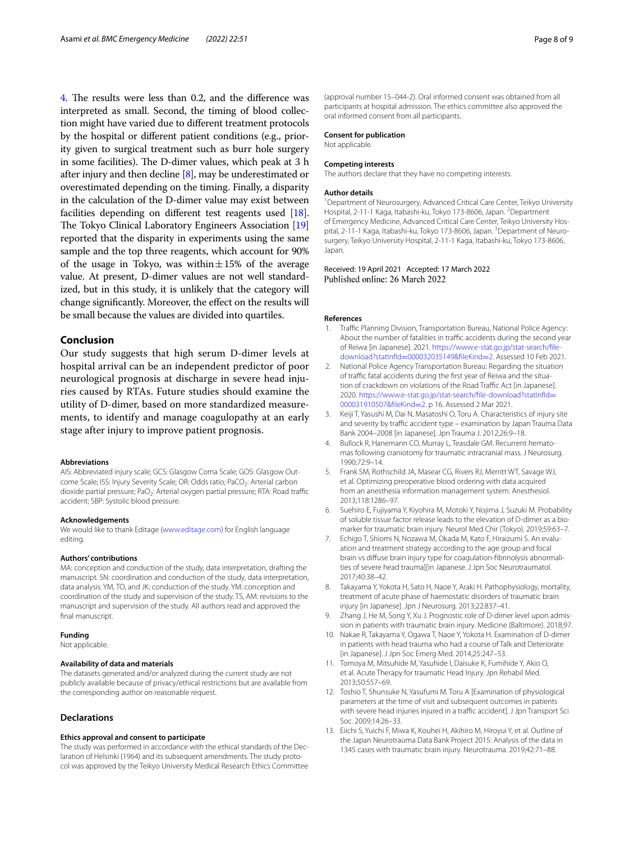[4](#page-5-0). The results were less than 0.2, and the difference was interpreted as small. Second, the timing of blood collection might have varied due to diferent treatment protocols by the hospital or diferent patient conditions (e.g., priority given to surgical treatment such as burr hole surgery in some facilities). The D-dimer values, which peak at 3 h after injury and then decline [\[8](#page-7-7)], may be underestimated or overestimated depending on the timing. Finally, a disparity in the calculation of the D-dimer value may exist between facilities depending on diferent test reagents used [[18](#page-8-4)]. The Tokyo Clinical Laboratory Engineers Association [[19](#page-8-5)] reported that the disparity in experiments using the same sample and the top three reagents, which account for 90% of the usage in Tokyo, was within $\pm 15\%$  of the average value. At present, D-dimer values are not well standardized, but in this study, it is unlikely that the category will change signifcantly. Moreover, the efect on the results will be small because the values are divided into quartiles.

## **Conclusion**

Our study suggests that high serum D-dimer levels at hospital arrival can be an independent predictor of poor neurological prognosis at discharge in severe head injuries caused by RTAs. Future studies should examine the utility of D-dimer, based on more standardized measurements, to identify and manage coagulopathy at an early stage after injury to improve patient prognosis.

#### **Abbreviations**

AIS: Abbreviated injury scale; GCS: Glasgow Coma Scale; GOS: Glasgow Outcome Scale; ISS: Injury Severity Scale; OR: Odds ratio; PaCO<sub>2</sub>: Arterial carbon dioxide partial pressure; PaO<sub>2</sub>: Arterial oxygen partial pressure; RTA: Road traffic accident; SBP: Systolic blood pressure.

#### **Acknowledgements**

We would like to thank Editage ([www.editage.com\)](https://www.editage.com) for English language editing.

#### **Authors' contributions**

MA: conception and conduction of the study, data interpretation, drafting the manuscript. SN: coordination and conduction of the study, data interpretation, data analysis. YM, TO, and JK: conduction of the study. YM: conception and coordination of the study and supervision of the study. TS, AM: revisions to the manuscript and supervision of the study. All authors read and approved the final manuscript.

#### **Funding**

Not applicable.

#### **Availability of data and materials**

The datasets generated and/or analyzed during the current study are not publicly available because of privacy/ethical restrictions but are available from the corresponding author on reasonable request.

#### **Declarations**

#### **Ethics approval and consent to participate**

The study was performed in accordance with the ethical standards of the Declaration of Helsinki (1964) and its subsequent amendments. The study protocol was approved by the Teikyo University Medical Research Ethics Committee

(approval number 15–044-2). Oral informed consent was obtained from all participants at hospital admission. The ethics committee also approved the oral informed consent from all participants.

#### **Consent for publication**

Not applicable.

#### **Competing interests**

The authors declare that they have no competing interests.

#### **Author details**

<sup>1</sup> Department of Neurosurgery, Advanced Critical Care Center, Teikyo University Hospital, 2-11-1 Kaga, Itabashi-ku, Tokyo 173-8606, Japan. <sup>2</sup>Department of Emergency Medicine, Advanced Critical Care Center, Teikyo University Hospital, 2-11-1 Kaga, Itabashi-ku, Tokyo 173-8606, Japan. <sup>3</sup> Department of Neurosurgery, Teikyo University Hospital, 2-11-1 Kaga, Itabashi-ku, Tokyo 173-8606, Japan.

#### Received: 19 April 2021 Accepted: 17 March 2022 Published online: 26 March 2022

#### **References**

- <span id="page-7-0"></span>1. Traffic Planning Division, Transportation Bureau, National Police Agency: About the number of fatalities in traffic accidents during the second year of Reiwa [in Japanese]. 2021. [https://www.e-stat.go.jp/stat-search/fle](https://www.e-stat.go.jp/stat-search/file-download?statInfId=000032035149&fileKind=2)download?statInfId=000032035149&fleKind=2. Assessed 10 Feb 2021.
- <span id="page-7-1"></span>2. [National Police Agency Transportation Bureau: R](https://www.e-stat.go.jp/stat-search/file-download?statInfId=000032035149&fileKind=2)egarding the situation of traffic fatal accidents during the first year of Reiwa and the situation of crackdown on violations of the Road Traffic Act [in Japanese]. 2020. https://www.e-stat.go.jp/stat-search/file-download?statInfld= [000031910507&fleKind](https://www.e-stat.go.jp/stat-search/file-download?statInfId=000031910507&fileKind=2)=2. p 16. Assessed 2 Mar 2021.
- <span id="page-7-2"></span>3. Keiji T, Yasushi M, Dai N, Masatoshi O, Toru A. Characteristics of injury site and severity by traffic accident type – examination by Japan Trauma Data Bank 2004–2008 [in Japanese]. Jpn Trauma J. 2012;26:9–18.
- <span id="page-7-3"></span>Bullock R, Hanemann CO, Murray L, Teasdale GM. Recurrent hematomas following craniotomy for traumatic intracranial mass. J Neurosurg. 1990;72:9–14.
- <span id="page-7-4"></span>5. Frank SM, Rothschild JA, Masear CG, Rivers RJ, Merritt WT, Savage WJ, et al. Optimizing preoperative blood ordering with data acquired from an anesthesia information management system. Anesthesiol. 2013;118:1286–97.
- <span id="page-7-5"></span>6. Suehiro E, Fujiyama Y, Kiyohira M, Motoki Y, Nojima J, Suzuki M. Probability of soluble tissue factor release leads to the elevation of D-dimer as a biomarker for traumatic brain injury. Neurol Med Chir (Tokyo). 2019;59:63–7.
- <span id="page-7-6"></span>7. Echigo T, Shiomi N, Nozawa M, Okada M, Kato F, Hiraizumi S. An evaluation and treatment strategy according to the age group and focal brain vs difuse brain injury type for coagulation-fbrinolysis abnormalities of severe head trauma][in Japanese. J Jpn Soc Neurotraumatol. 2017;40:38–42.
- <span id="page-7-7"></span>8. Takayama Y, Yokota H, Sato H, Naoe Y, Araki H. Pathophysiology, mortality, treatment of acute phase of haemostatic disorders of traumatic brain injury [in Japanese]. Jpn J Neurosurg. 2013;22:837–41.
- <span id="page-7-8"></span>9. Zhang J, He M, Song Y, Xu J. Prognostic role of D-dimer level upon admission in patients with traumatic brain injury. Medicine (Baltimore). 2018;97.
- <span id="page-7-9"></span>10. Nakae R, Takayama Y, Ogawa T, Naoe Y, Yokota H. Examination of D-dimer in patients with head trauma who had a course of Talk and Deteriorate [in Japanese]. J Jpn Soc Emerg Med. 2014;25:247–53.
- <span id="page-7-10"></span>11. Tomoya M, Mitsuhide M, Yasuhide I, Daisuke K, Fumihide Y, Akio O, et al. Acute Therapy for traumatic Head Injury. Jpn Rehabil Med. 2013;50:557–69.
- <span id="page-7-11"></span>12. Toshio T, Shunsuke N, Yasufumi M. Toru A [Examination of physiological parameters at the time of visit and subsequent outcomes in patients with severe head injuries injured in a traffic accident]. J Jpn Transport Sci Soc. 2009;14:26–33.
- <span id="page-7-12"></span>13. Eiichi S, Yuichi F, Miwa K, Kouhei H, Akihiro M, Hiroyui Y, et al. Outline of the Japan Neurotrauma Data Bank Project 2015: Analysis of the data in 1345 cases with traumatic brain injury. Neurotrauma. 2019;42:71–88.